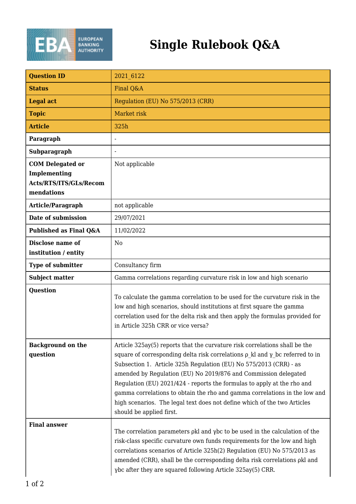

## **Single Rulebook Q&A**

| <b>Question ID</b>                                                              | 2021 6122                                                                                                                                                                                                                                                                                                                                                                                                                                                                                                                                                                       |
|---------------------------------------------------------------------------------|---------------------------------------------------------------------------------------------------------------------------------------------------------------------------------------------------------------------------------------------------------------------------------------------------------------------------------------------------------------------------------------------------------------------------------------------------------------------------------------------------------------------------------------------------------------------------------|
| <b>Status</b>                                                                   | Final Q&A                                                                                                                                                                                                                                                                                                                                                                                                                                                                                                                                                                       |
| <b>Legal act</b>                                                                | Regulation (EU) No 575/2013 (CRR)                                                                                                                                                                                                                                                                                                                                                                                                                                                                                                                                               |
| <b>Topic</b>                                                                    | Market risk                                                                                                                                                                                                                                                                                                                                                                                                                                                                                                                                                                     |
| <b>Article</b>                                                                  | 325h                                                                                                                                                                                                                                                                                                                                                                                                                                                                                                                                                                            |
| Paragraph                                                                       |                                                                                                                                                                                                                                                                                                                                                                                                                                                                                                                                                                                 |
| Subparagraph                                                                    |                                                                                                                                                                                                                                                                                                                                                                                                                                                                                                                                                                                 |
| <b>COM Delegated or</b><br>Implementing<br>Acts/RTS/ITS/GLs/Recom<br>mendations | Not applicable                                                                                                                                                                                                                                                                                                                                                                                                                                                                                                                                                                  |
| Article/Paragraph                                                               | not applicable                                                                                                                                                                                                                                                                                                                                                                                                                                                                                                                                                                  |
| Date of submission                                                              | 29/07/2021                                                                                                                                                                                                                                                                                                                                                                                                                                                                                                                                                                      |
| Published as Final Q&A                                                          | 11/02/2022                                                                                                                                                                                                                                                                                                                                                                                                                                                                                                                                                                      |
| Disclose name of<br>institution / entity                                        | N <sub>0</sub>                                                                                                                                                                                                                                                                                                                                                                                                                                                                                                                                                                  |
| <b>Type of submitter</b>                                                        | Consultancy firm                                                                                                                                                                                                                                                                                                                                                                                                                                                                                                                                                                |
| <b>Subject matter</b>                                                           | Gamma correlations regarding curvature risk in low and high scenario                                                                                                                                                                                                                                                                                                                                                                                                                                                                                                            |
| <b>Question</b>                                                                 | To calculate the gamma correlation to be used for the curvature risk in the<br>low and high scenarios, should institutions at first square the gamma<br>correlation used for the delta risk and then apply the formulas provided for<br>in Article 325h CRR or vice versa?                                                                                                                                                                                                                                                                                                      |
| <b>Background on the</b><br>question                                            | Article 325ay(5) reports that the curvature risk correlations shall be the<br>square of corresponding delta risk correlations $\rho$ kl and $\gamma$ bc referred to in<br>Subsection 1. Article 325h Regulation (EU) No 575/2013 (CRR) - as<br>amended by Regulation (EU) No 2019/876 and Commission delegated<br>Regulation (EU) 2021/424 - reports the formulas to apply at the rho and<br>gamma correlations to obtain the rho and gamma correlations in the low and<br>high scenarios. The legal text does not define which of the two Articles<br>should be applied first. |
| <b>Final answer</b>                                                             | The correlation parameters pkl and ybc to be used in the calculation of the<br>risk-class specific curvature own funds requirements for the low and high<br>correlations scenarios of Article 325h(2) Regulation (EU) No 575/2013 as<br>amended (CRR), shall be the corresponding delta risk correlations okl and<br>γbc after they are squared following Article 325ay(5) CRR.                                                                                                                                                                                                 |